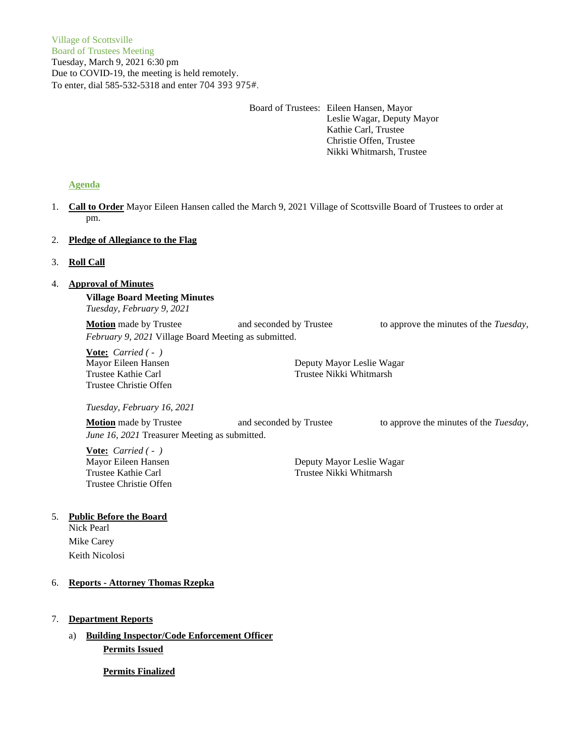Board of Trustees: Eileen Hansen, Mayor Leslie Wagar, Deputy Mayor Kathie Carl, Trustee Christie Offen, Trustee Nikki Whitmarsh, Trustee

# **Agenda**

1. **Call to Order** Mayor Eileen Hansen called the March 9, 2021 Village of Scottsville Board of Trustees to order at pm.

# 2. **Pledge of Allegiance to the Flag**

# 3. **Roll Call**

# 4. **Approval of Minutes**

**Village Board Meeting Minutes** *Tuesday, February 9, 2021*

**Motion** made by Trustee and seconded by Trustee to approve the minutes of the *Tuesday*, *February 9, 2021* Village Board Meeting as submitted.

**Vote:** *Carried ( - )* Trustee Christie Offen

Mayor Eileen Hansen **Deputy Mayor Leslie Wagar** Trustee Kathie Carl Trustee Nikki Whitmarsh

*Tuesday, February 16, 2021*

**Motion** made by Trustee and seconded by Trustee to approve the minutes of the *Tuesday*, *June 16, 2021* Treasurer Meeting as submitted.

**Vote:** *Carried ( - )* Trustee Christie Offen

Mayor Eileen Hansen Deputy Mayor Leslie Wagar Trustee Kathie Carl Trustee Nikki Whitmarsh

# 5. **Public Before the Board**

Nick Pearl Mike Carey Keith Nicolosi

# 6. **Reports - Attorney Thomas Rzepka**

- 7. **Department Reports**
	- a) **Building Inspector/Code Enforcement Officer Permits Issued**

**Permits Finalized**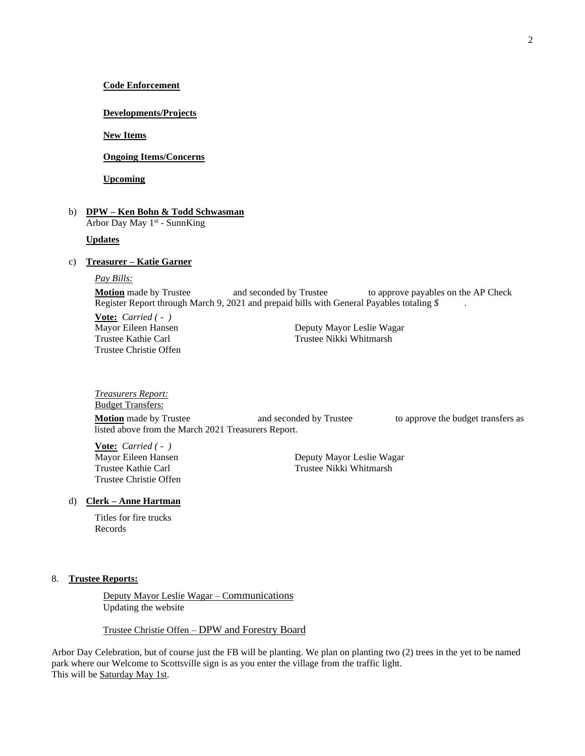## **Code Enforcement**

### **Developments/Projects**

## **New Items**

# **Ongoing Items/Concerns**

**Upcoming**

## b) **DPW – Ken Bohn & Todd Schwasman** Arbor Day May 1<sup>st</sup> - SunnKing

**Updates**

### c) **Treasurer – Katie Garner**

*Pay Bills:*

**Motion** made by Trustee and seconded by Trustee to approve payables on the AP Check Register Report through March 9, 2021 and prepaid bills with General Payables totaling *\$* .

**Vote:** *Carried ( - )* Mayor Eileen Hansen **Deputy Mayor Leslie Wagar** Trustee Christie Offen

Trustee Kathie Carl Trustee Nikki Whitmarsh

*Treasurers Report:* Budget Transfers: **Motion** made by Trustee **and seconded by Trustee** to approve the budget transfers as listed above from the March 2021 Treasurers Report.

**Vote:** *Carried ( - )* Trustee Christie Offen

Mayor Eileen Hansen<br>
Trustee Kathie Carl<br>
Trustee Nikki Whitmarsh Trustee Nikki Whitmarsh

### d) **Clerk – Anne Hartman**

Titles for fire trucks Records

#### 8. **Trustee Reports:**

Deputy Mayor Leslie Wagar – Communications Updating the website

Trustee Christie Offen – DPW and Forestry Board

Arbor Day Celebration, but of course just the FB will be planting. We plan on planting two (2) trees in the yet to be named park where our Welcome to Scottsville sign is as you enter the village from the traffic light. This will be Saturday May 1st.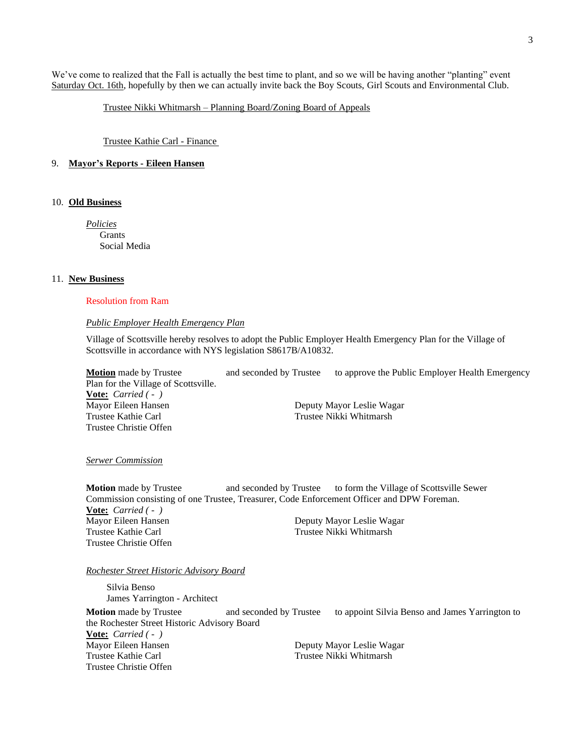We've come to realized that the Fall is actually the best time to plant, and so we will be having another "planting" event Saturday Oct. 16th, hopefully by then we can actually invite back the Boy Scouts, Girl Scouts and Environmental Club.

Trustee Nikki Whitmarsh – Planning Board/Zoning Board of Appeals

Trustee Kathie Carl - Finance

### 9. **Mayor's Reports - Eileen Hansen**

### 10. **Old Business**

*Policies* **Grants** Social Media

#### 11. **New Business**

#### Resolution from Ram

#### *Public Employer Health Emergency Plan*

Village of Scottsville hereby resolves to adopt the Public Employer Health Emergency Plan for the Village of Scottsville in accordance with NYS legislation S8617B/A10832.

**Motion** made by Trustee and seconded by Trustee to approve the Public Employer Health Emergency Plan for the Village of Scottsville. **Vote:** *Carried ( - )* Mayor Eileen Hansen **Deputy Mayor Leslie Wagar** Trustee Kathie Carl Trustee Nikki Whitmarsh Trustee Christie Offen

#### *Serwer Commission*

**Motion** made by Trustee and seconded by Trustee to form the Village of Scottsville Sewer Commission consisting of one Trustee, Treasurer, Code Enforcement Officer and DPW Foreman. **Vote:** *Carried ( - )* Mayor Eileen Hansen Deputy Mayor Leslie Wagar Trustee Kathie Carl Trustee Nikki Whitmarsh Trustee Christie Offen

*Rochester Street Historic Advisory Board*

Silvia Benso James Yarrington - Architect **Motion** made by Trustee and seconded by Trustee to appoint Silvia Benso and James Yarrington to the Rochester Street Historic Advisory Board **Vote:** *Carried ( - )* Mayor Eileen Hansen Deputy Mayor Leslie Wagar Trustee Kathie Carl **Trustee Nikki** Whitmarsh Trustee Christie Offen